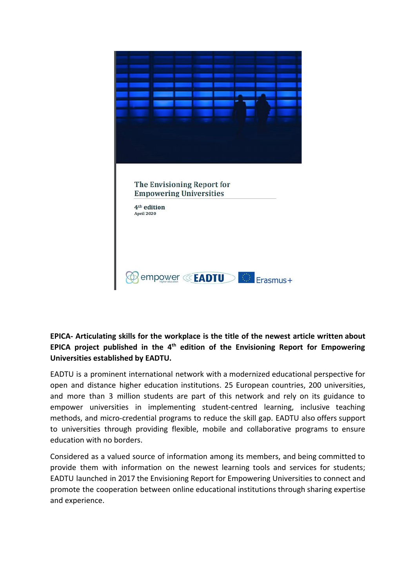

## **EPICA- Articulating skills for the workplace is the title of the newest article written about EPICA project published in the 4 th edition of the Envisioning Report for Empowering Universities established by EADTU.**

EADTU is a prominent international network with a modernized educational perspective for open and distance higher education institutions. 25 European countries, 200 universities, and more than 3 million students are part of this network and rely on its guidance to empower universities in implementing student-centred learning, inclusive teaching methods, and micro-credential programs to reduce the skill gap. EADTU also offers support to universities through providing flexible, mobile and collaborative programs to ensure education with no borders.

Considered as a valued source of information among its members, and being committed to provide them with information on the newest learning tools and services for students; EADTU launched in 2017 the Envisioning Report for Empowering Universities to connect and promote the cooperation between online educational institutions through sharing expertise and experience.